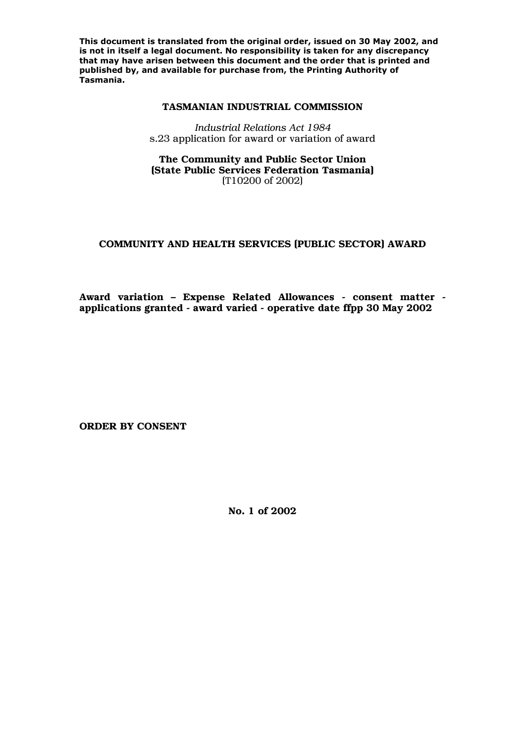**This document is translated from the original order, issued on 30 May 2002, and is not in itself a legal document. No responsibility is taken for any discrepancy that may have arisen between this document and the order that is printed and published by, and available for purchase from, the Printing Authority of Tasmania.** 

#### **TASMANIAN INDUSTRIAL COMMISSION**

*Industrial Relations Act 1984*  s.23 application for award or variation of award

### **The Community and Public Sector Union (State Public Services Federation Tasmania)**  (T10200 of 2002)

# **COMMUNITY AND HEALTH SERVICES (PUBLIC SECTOR) AWARD**

**Award variation – Expense Related Allowances - consent matter applications granted - award varied - operative date ffpp 30 May 2002** 

**ORDER BY CONSENT** 

**No. 1 of 2002**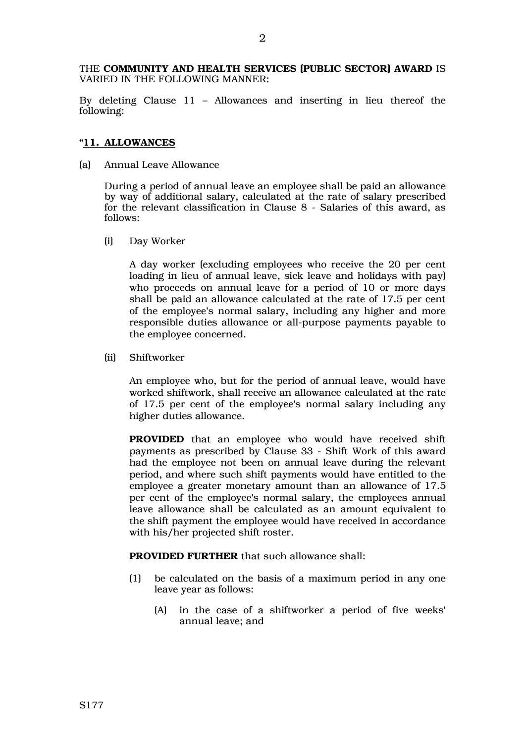THE **COMMUNITY AND HEALTH SERVICES (PUBLIC SECTOR) AWARD** IS VARIED IN THE FOLLOWING MANNER:

By deleting Clause 11 – Allowances and inserting in lieu thereof the following:

## "**11. ALLOWANCES**

(a) Annual Leave Allowance

During a period of annual leave an employee shall be paid an allowance by way of additional salary, calculated at the rate of salary prescribed for the relevant classification in Clause 8 - Salaries of this award, as follows:

(i) Day Worker

A day worker (excluding employees who receive the 20 per cent loading in lieu of annual leave, sick leave and holidays with pay) who proceeds on annual leave for a period of 10 or more days shall be paid an allowance calculated at the rate of 17.5 per cent of the employee's normal salary, including any higher and more responsible duties allowance or all-purpose payments payable to the employee concerned.

(ii) Shiftworker

An employee who, but for the period of annual leave, would have worked shiftwork, shall receive an allowance calculated at the rate of 17.5 per cent of the employee's normal salary including any higher duties allowance.

 **PROVIDED** that an employee who would have received shift payments as prescribed by Clause 33 - Shift Work of this award had the employee not been on annual leave during the relevant period, and where such shift payments would have entitled to the employee a greater monetary amount than an allowance of 17.5 per cent of the employee's normal salary, the employees annual leave allowance shall be calculated as an amount equivalent to the shift payment the employee would have received in accordance with his/her projected shift roster.

 **PROVIDED FURTHER** that such allowance shall:

- (1) be calculated on the basis of a maximum period in any one leave year as follows:
	- (A) in the case of a shiftworker a period of five weeks' annual leave; and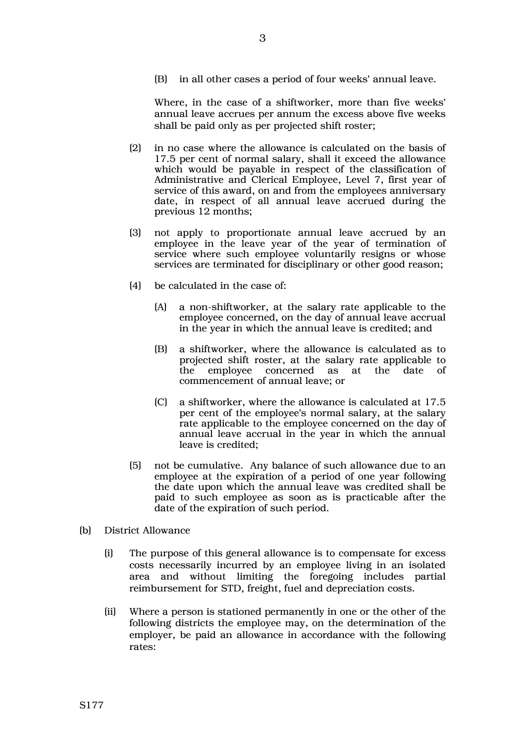(B) in all other cases a period of four weeks' annual leave.

Where, in the case of a shiftworker, more than five weeks' annual leave accrues per annum the excess above five weeks shall be paid only as per projected shift roster;

- (2) in no case where the allowance is calculated on the basis of 17.5 per cent of normal salary, shall it exceed the allowance which would be payable in respect of the classification of Administrative and Clerical Employee, Level 7, first year of service of this award, on and from the employees anniversary date, in respect of all annual leave accrued during the previous 12 months;
- (3) not apply to proportionate annual leave accrued by an employee in the leave year of the year of termination of service where such employee voluntarily resigns or whose services are terminated for disciplinary or other good reason;
- (4) be calculated in the case of:
	- (A) a non-shiftworker, at the salary rate applicable to the employee concerned, on the day of annual leave accrual in the year in which the annual leave is credited; and
	- (B) a shiftworker, where the allowance is calculated as to projected shift roster, at the salary rate applicable to the employee concerned as at the date of commencement of annual leave; or
	- (C) a shiftworker, where the allowance is calculated at 17.5 per cent of the employee's normal salary, at the salary rate applicable to the employee concerned on the day of annual leave accrual in the year in which the annual leave is credited;
- (5) not be cumulative. Any balance of such allowance due to an employee at the expiration of a period of one year following the date upon which the annual leave was credited shall be paid to such employee as soon as is practicable after the date of the expiration of such period.
- (b) District Allowance
	- (i) The purpose of this general allowance is to compensate for excess costs necessarily incurred by an employee living in an isolated area and without limiting the foregoing includes partial reimbursement for STD, freight, fuel and depreciation costs.
	- (ii) Where a person is stationed permanently in one or the other of the following districts the employee may, on the determination of the employer, be paid an allowance in accordance with the following rates: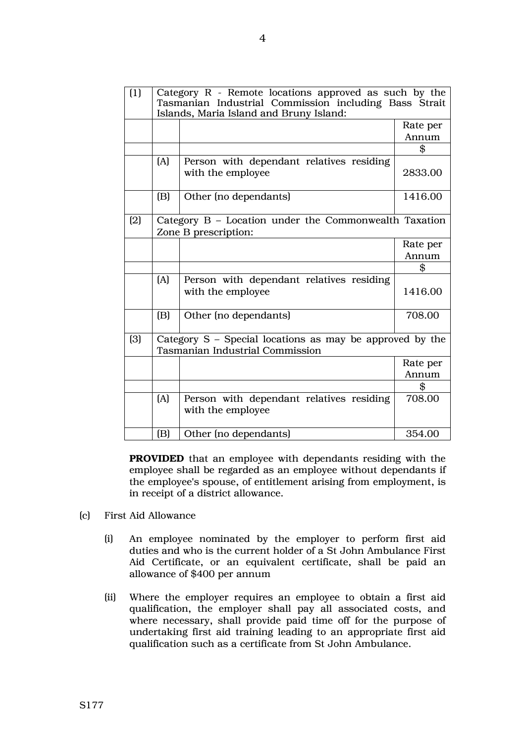| (1) | Category R - Remote locations approved as such by the<br>Tasmanian Industrial Commission including Bass Strait<br>Islands, Maria Island and Bruny Island: |                                                               |          |
|-----|-----------------------------------------------------------------------------------------------------------------------------------------------------------|---------------------------------------------------------------|----------|
|     |                                                                                                                                                           |                                                               | Rate per |
|     |                                                                                                                                                           |                                                               | Annum    |
|     |                                                                                                                                                           |                                                               | \$       |
|     | (A)                                                                                                                                                       | Person with dependant relatives residing<br>with the employee | 2833.00  |
|     | (B)                                                                                                                                                       | Other (no dependants)                                         | 1416.00  |
| (2) | Category $B$ – Location under the Commonwealth Taxation<br>Zone B prescription:                                                                           |                                                               |          |
|     |                                                                                                                                                           |                                                               | Rate per |
|     |                                                                                                                                                           |                                                               | Annum    |
|     |                                                                                                                                                           |                                                               | \$       |
|     | (A)                                                                                                                                                       | Person with dependant relatives residing<br>with the employee | 1416.00  |
|     | (B)                                                                                                                                                       | Other (no dependants)                                         | 708.00   |
| (3) | Category S - Special locations as may be approved by the<br><b>Tasmanian Industrial Commission</b>                                                        |                                                               |          |
|     |                                                                                                                                                           |                                                               | Rate per |
|     |                                                                                                                                                           |                                                               | Annum    |
|     |                                                                                                                                                           |                                                               | \$       |
|     | [A]                                                                                                                                                       | Person with dependant relatives residing<br>with the employee | 708.00   |
|     | (B)                                                                                                                                                       | Other (no dependants)                                         | 354.00   |

 **PROVIDED** that an employee with dependants residing with the employee shall be regarded as an employee without dependants if the employee's spouse, of entitlement arising from employment, is in receipt of a district allowance.

- (c) First Aid Allowance
	- (i) An employee nominated by the employer to perform first aid duties and who is the current holder of a St John Ambulance First Aid Certificate, or an equivalent certificate, shall be paid an allowance of \$400 per annum
	- (ii) Where the employer requires an employee to obtain a first aid qualification, the employer shall pay all associated costs, and where necessary, shall provide paid time off for the purpose of undertaking first aid training leading to an appropriate first aid qualification such as a certificate from St John Ambulance.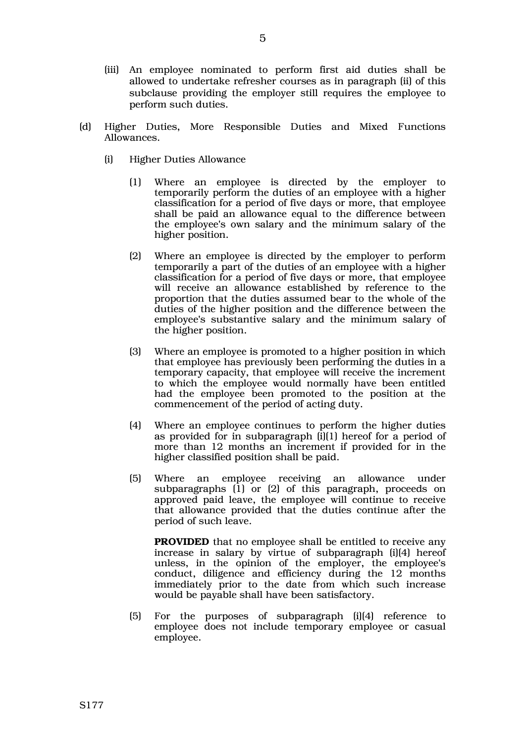- (iii) An employee nominated to perform first aid duties shall be allowed to undertake refresher courses as in paragraph (ii) of this subclause providing the employer still requires the employee to perform such duties.
- (d) Higher Duties, More Responsible Duties and Mixed Functions Allowances.
	- (i) Higher Duties Allowance
		- (1) Where an employee is directed by the employer to temporarily perform the duties of an employee with a higher classification for a period of five days or more, that employee shall be paid an allowance equal to the difference between the employee's own salary and the minimum salary of the higher position.
		- (2) Where an employee is directed by the employer to perform temporarily a part of the duties of an employee with a higher classification for a period of five days or more, that employee will receive an allowance established by reference to the proportion that the duties assumed bear to the whole of the duties of the higher position and the difference between the employee's substantive salary and the minimum salary of the higher position.
		- (3) Where an employee is promoted to a higher position in which that employee has previously been performing the duties in a temporary capacity, that employee will receive the increment to which the employee would normally have been entitled had the employee been promoted to the position at the commencement of the period of acting duty.
		- (4) Where an employee continues to perform the higher duties as provided for in subparagraph (i)(1) hereof for a period of more than 12 months an increment if provided for in the higher classified position shall be paid.
		- (5) Where an employee receiving an allowance under subparagraphs (1) or (2) of this paragraph, proceeds on approved paid leave, the employee will continue to receive that allowance provided that the duties continue after the period of such leave.

**PROVIDED** that no employee shall be entitled to receive any increase in salary by virtue of subparagraph (i)(4) hereof unless, in the opinion of the employer, the employee's conduct, diligence and efficiency during the 12 months immediately prior to the date from which such increase would be payable shall have been satisfactory.

(5) For the purposes of subparagraph (i)(4) reference to employee does not include temporary employee or casual employee.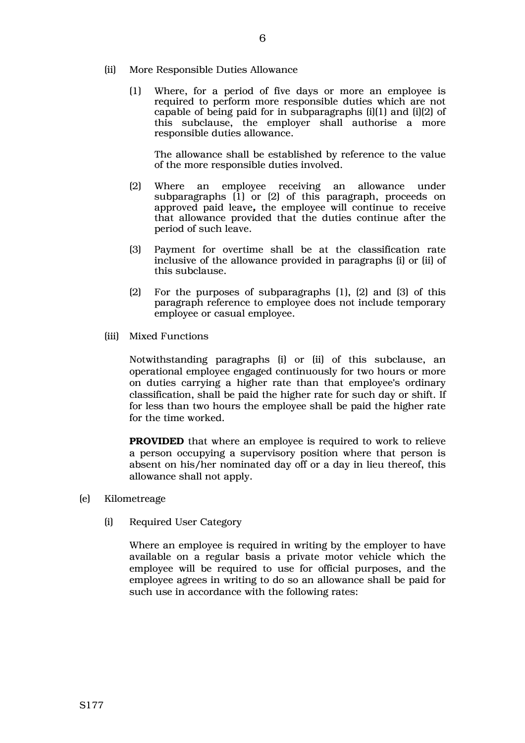- (ii) More Responsible Duties Allowance
	- (1) Where, for a period of five days or more an employee is required to perform more responsible duties which are not capable of being paid for in subparagraphs (i)(1) and (i)(2) of this subclause, the employer shall authorise a more responsible duties allowance.

The allowance shall be established by reference to the value of the more responsible duties involved.

- (2) Where an employee receiving an allowance under subparagraphs  $(1)$  or  $(2)$  of this paragraph, proceeds on approved paid leave*,* the employee will continue to receive that allowance provided that the duties continue after the period of such leave.
- (3) Payment for overtime shall be at the classification rate inclusive of the allowance provided in paragraphs (i) or (ii) of this subclause.
- (2) For the purposes of subparagraphs (1), (2) and (3) of this paragraph reference to employee does not include temporary employee or casual employee.
- (iii) Mixed Functions

Notwithstanding paragraphs (i) or (ii) of this subclause, an operational employee engaged continuously for two hours or more on duties carrying a higher rate than that employee's ordinary classification, shall be paid the higher rate for such day or shift. If for less than two hours the employee shall be paid the higher rate for the time worked.

**PROVIDED** that where an employee is required to work to relieve a person occupying a supervisory position where that person is absent on his/her nominated day off or a day in lieu thereof, this allowance shall not apply.

- (e) Kilometreage
	- (i) Required User Category

Where an employee is required in writing by the employer to have available on a regular basis a private motor vehicle which the employee will be required to use for official purposes, and the employee agrees in writing to do so an allowance shall be paid for such use in accordance with the following rates: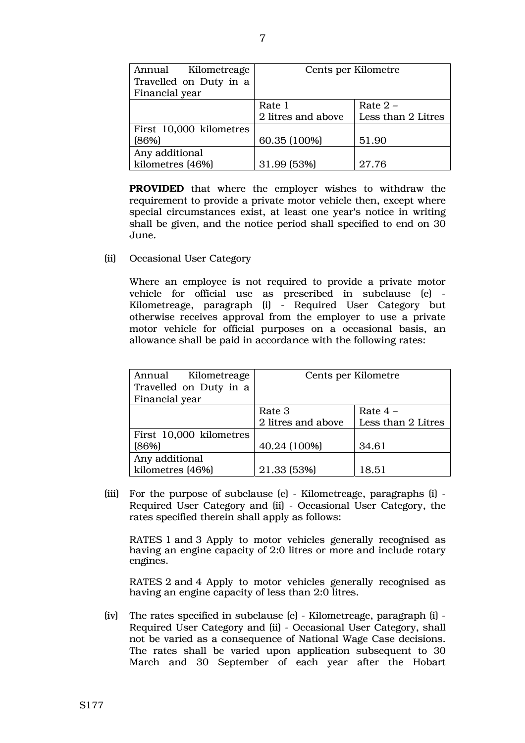| Kilometreage<br>Annual  | Cents per Kilometre |                    |
|-------------------------|---------------------|--------------------|
| Travelled on Duty in a  |                     |                    |
| Financial year          |                     |                    |
|                         | Rate 1              | Rate $2 -$         |
|                         | 2 litres and above  | Less than 2 Litres |
| First 10,000 kilometres |                     |                    |
| (86%)                   | 60.35 (100%)        | 51.90              |
| Any additional          |                     |                    |
| kilometres (46%)        | 31.99 (53%)         | 27.76              |

 **PROVIDED** that where the employer wishes to withdraw the requirement to provide a private motor vehicle then, except where special circumstances exist, at least one year's notice in writing shall be given, and the notice period shall specified to end on 30 June.

(ii) Occasional User Category

Where an employee is not required to provide a private motor vehicle for official use as prescribed in subclause (e) - Kilometreage, paragraph (i) - Required User Category but otherwise receives approval from the employer to use a private motor vehicle for official purposes on a occasional basis, an allowance shall be paid in accordance with the following rates:

| Kilometreage<br>Annual  | Cents per Kilometre |                    |
|-------------------------|---------------------|--------------------|
| Travelled on Duty in a  |                     |                    |
| Financial year          |                     |                    |
|                         | Rate 3              | Rate $4-$          |
|                         | 2 litres and above  | Less than 2 Litres |
| First 10,000 kilometres |                     |                    |
| [86%]                   | 40.24 (100%)        | 34.61              |
| Any additional          |                     |                    |
| kilometres (46%)        | 21.33 (53%)         | 18.51              |

 (iii) For the purpose of subclause (e) - Kilometreage, paragraphs (i) - Required User Category and (ii) - Occasional User Category, the rates specified therein shall apply as follows:

RATES 1 and 3 Apply to motor vehicles generally recognised as having an engine capacity of 2:0 litres or more and include rotary engines.

RATES 2 and 4 Apply to motor vehicles generally recognised as having an engine capacity of less than 2:0 litres.

(iv) The rates specified in subclause (e) - Kilometreage, paragraph (i) - Required User Category and (ii) - Occasional User Category, shall not be varied as a consequence of National Wage Case decisions. The rates shall be varied upon application subsequent to 30 March and 30 September of each year after the Hobart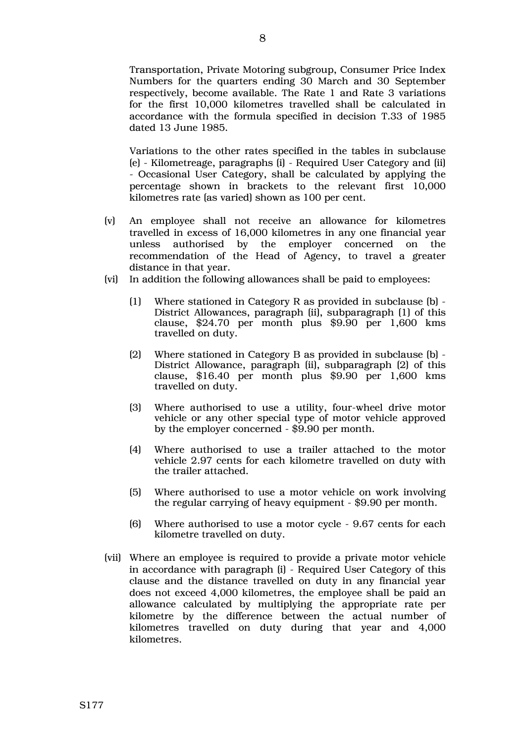Transportation, Private Motoring subgroup, Consumer Price Index Numbers for the quarters ending 30 March and 30 September respectively, become available. The Rate 1 and Rate 3 variations for the first 10,000 kilometres travelled shall be calculated in accordance with the formula specified in decision T.33 of 1985 dated 13 June 1985.

Variations to the other rates specified in the tables in subclause (e) - Kilometreage, paragraphs (i) - Required User Category and (ii) - Occasional User Category, shall be calculated by applying the percentage shown in brackets to the relevant first 10,000 kilometres rate (as varied) shown as 100 per cent.

- (v) An employee shall not receive an allowance for kilometres travelled in excess of 16,000 kilometres in any one financial year unless authorised by the employer concerned on the recommendation of the Head of Agency, to travel a greater distance in that year.
- (vi) In addition the following allowances shall be paid to employees:
	- (1) Where stationed in Category R as provided in subclause (b) District Allowances, paragraph (ii), subparagraph (1) of this clause, \$24.70 per month plus \$9.90 per 1,600 kms travelled on duty.
	- (2) Where stationed in Category B as provided in subclause (b) District Allowance, paragraph (ii), subparagraph (2) of this clause, \$16.40 per month plus \$9.90 per 1,600 kms travelled on duty.
	- (3) Where authorised to use a utility, four-wheel drive motor vehicle or any other special type of motor vehicle approved by the employer concerned - \$9.90 per month.
	- (4) Where authorised to use a trailer attached to the motor vehicle 2.97 cents for each kilometre travelled on duty with the trailer attached.
	- (5) Where authorised to use a motor vehicle on work involving the regular carrying of heavy equipment - \$9.90 per month.
	- (6) Where authorised to use a motor cycle 9.67 cents for each kilometre travelled on duty.
- (vii) Where an employee is required to provide a private motor vehicle in accordance with paragraph (i) - Required User Category of this clause and the distance travelled on duty in any financial year does not exceed 4,000 kilometres, the employee shall be paid an allowance calculated by multiplying the appropriate rate per kilometre by the difference between the actual number of kilometres travelled on duty during that year and 4,000 kilometres.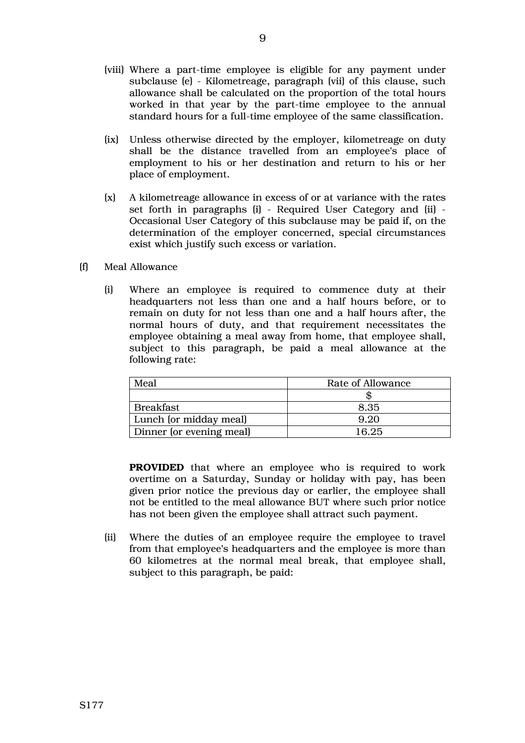- (viii) Where a part-time employee is eligible for any payment under subclause (e) - Kilometreage, paragraph (vii) of this clause, such allowance shall be calculated on the proportion of the total hours worked in that year by the part-time employee to the annual standard hours for a full-time employee of the same classification.
- (ix) Unless otherwise directed by the employer, kilometreage on duty shall be the distance travelled from an employee's place of employment to his or her destination and return to his or her place of employment.
- (x) A kilometreage allowance in excess of or at variance with the rates set forth in paragraphs (i) - Required User Category and (ii) - Occasional User Category of this subclause may be paid if, on the determination of the employer concerned, special circumstances exist which justify such excess or variation.
- (f) Meal Allowance
	- (i) Where an employee is required to commence duty at their headquarters not less than one and a half hours before, or to remain on duty for not less than one and a half hours after, the normal hours of duty, and that requirement necessitates the employee obtaining a meal away from home, that employee shall, subject to this paragraph, be paid a meal allowance at the following rate:

| Meal                     | Rate of Allowance |
|--------------------------|-------------------|
|                          |                   |
| Breakfast                | 8.35              |
| Lunch (or midday meal)   | 9.20              |
| Dinner (or evening meal) | 16.25             |

**PROVIDED** that where an employee who is required to work overtime on a Saturday, Sunday or holiday with pay, has been given prior notice the previous day or earlier, the employee shall not be entitled to the meal allowance BUT where such prior notice has not been given the employee shall attract such payment.

(ii) Where the duties of an employee require the employee to travel from that employee's headquarters and the employee is more than 60 kilometres at the normal meal break, that employee shall, subject to this paragraph, be paid: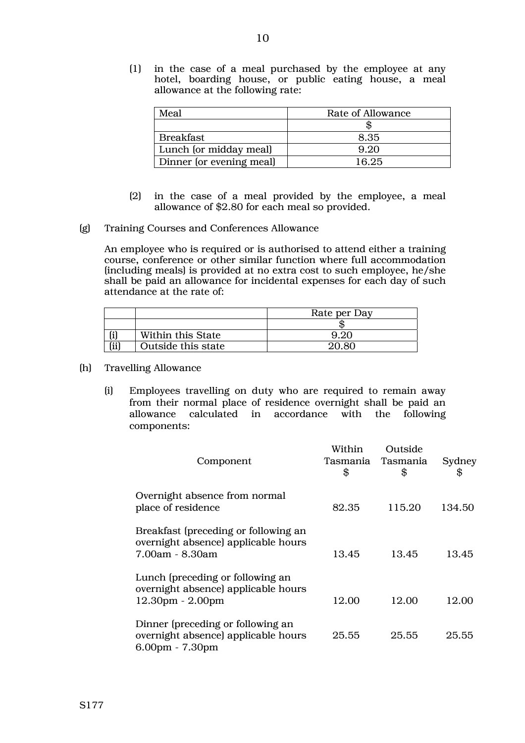(1) in the case of a meal purchased by the employee at any hotel, boarding house, or public eating house, a meal allowance at the following rate:

| Meal                     | Rate of Allowance |
|--------------------------|-------------------|
|                          |                   |
| <b>Breakfast</b>         | 8.35              |
| Lunch (or midday meal)   | 9.20              |
| Dinner (or evening meal) | 16.25             |

- (2) in the case of a meal provided by the employee, a meal allowance of \$2.80 for each meal so provided.
- (g) Training Courses and Conferences Allowance

An employee who is required or is authorised to attend either a training course, conference or other similar function where full accommodation (including meals) is provided at no extra cost to such employee, he/she shall be paid an allowance for incidental expenses for each day of such attendance at the rate of:

|      |                    | Rate per Day |
|------|--------------------|--------------|
|      |                    |              |
|      | Within this State  |              |
| (ii) | Outside this state | 20.80        |

- (h) Travelling Allowance
	- (i) Employees travelling on duty who are required to remain away from their normal place of residence overnight shall be paid an allowance calculated in accordance with the following components:

| Component                                                                                         | Within<br>Tasmania<br>\$ | Outside<br>Tasmania<br>\$ | Sydney<br>\$ |
|---------------------------------------------------------------------------------------------------|--------------------------|---------------------------|--------------|
| Overnight absence from normal<br>place of residence                                               | 82.35                    | 115.20                    | 134.50       |
| Breakfast (preceding or following an<br>overnight absence) applicable hours<br>7.00am - 8.30am    | 13.45                    | 13.45                     | 13.45        |
| Lunch (preceding or following an<br>overnight absence) applicable hours<br>$12.30pm - 2.00pm$     | 12.00                    | 12.00                     | 12.00        |
| Dinner (preceding or following an<br>overnight absence) applicable hours<br>$6.00$ pm - $7.30$ pm | 25.55                    | 25.55                     | 25.55        |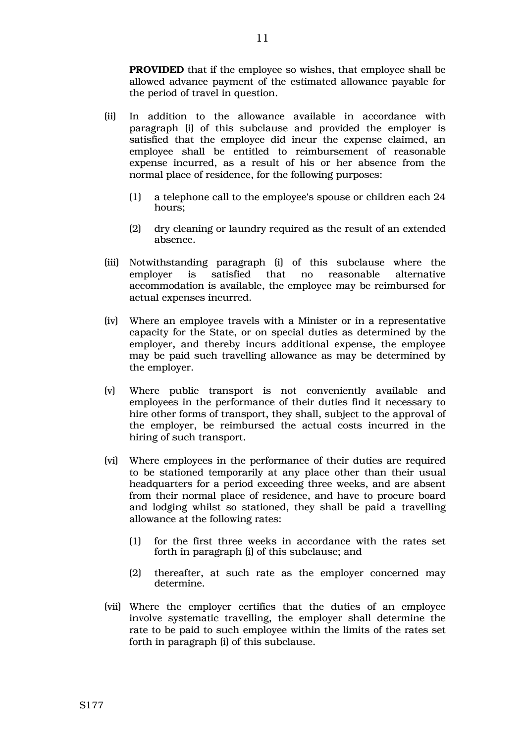**PROVIDED** that if the employee so wishes, that employee shall be allowed advance payment of the estimated allowance payable for the period of travel in question.

- (ii) In addition to the allowance available in accordance with paragraph (i) of this subclause and provided the employer is satisfied that the employee did incur the expense claimed, an employee shall be entitled to reimbursement of reasonable expense incurred, as a result of his or her absence from the normal place of residence, for the following purposes:
	- (1) a telephone call to the employee's spouse or children each 24 hours;
	- (2) dry cleaning or laundry required as the result of an extended absence.
- (iii) Notwithstanding paragraph (i) of this subclause where the employer is satisfied that no reasonable alternative accommodation is available, the employee may be reimbursed for actual expenses incurred.
- (iv) Where an employee travels with a Minister or in a representative capacity for the State, or on special duties as determined by the employer, and thereby incurs additional expense, the employee may be paid such travelling allowance as may be determined by the employer.
- (v) Where public transport is not conveniently available and employees in the performance of their duties find it necessary to hire other forms of transport, they shall, subject to the approval of the employer, be reimbursed the actual costs incurred in the hiring of such transport.
- (vi) Where employees in the performance of their duties are required to be stationed temporarily at any place other than their usual headquarters for a period exceeding three weeks, and are absent from their normal place of residence, and have to procure board and lodging whilst so stationed, they shall be paid a travelling allowance at the following rates:
	- (1) for the first three weeks in accordance with the rates set forth in paragraph (i) of this subclause; and
	- (2) thereafter, at such rate as the employer concerned may determine.
- (vii) Where the employer certifies that the duties of an employee involve systematic travelling, the employer shall determine the rate to be paid to such employee within the limits of the rates set forth in paragraph (i) of this subclause.